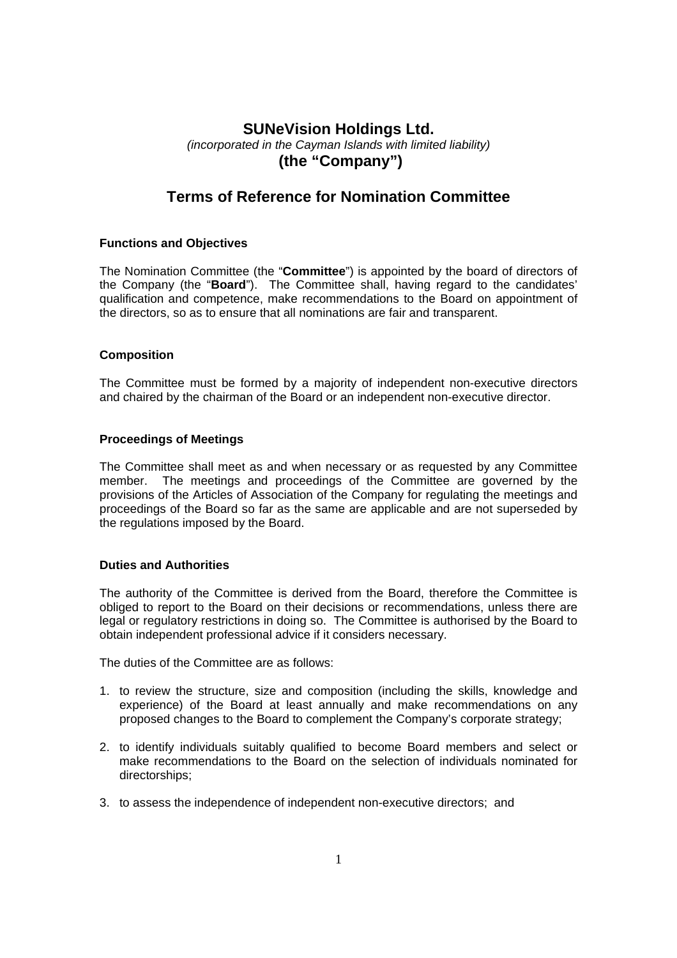# **SUNeVision Holdings Ltd.**  *(incorporated in the Cayman Islands with limited liability)*   **(the "Company")**

# **Terms of Reference for Nomination Committee**

## **Functions and Objectives**

The Nomination Committee (the "**Committee**") is appointed by the board of directors of the Company (the "**Board**"). The Committee shall, having regard to the candidates' qualification and competence, make recommendations to the Board on appointment of the directors, so as to ensure that all nominations are fair and transparent.

### **Composition**

The Committee must be formed by a majority of independent non-executive directors and chaired by the chairman of the Board or an independent non-executive director.

#### **Proceedings of Meetings**

The Committee shall meet as and when necessary or as requested by any Committee member. The meetings and proceedings of the Committee are governed by the provisions of the Articles of Association of the Company for regulating the meetings and proceedings of the Board so far as the same are applicable and are not superseded by the regulations imposed by the Board.

#### **Duties and Authorities**

The authority of the Committee is derived from the Board, therefore the Committee is obliged to report to the Board on their decisions or recommendations, unless there are legal or regulatory restrictions in doing so. The Committee is authorised by the Board to obtain independent professional advice if it considers necessary.

The duties of the Committee are as follows:

- 1. to review the structure, size and composition (including the skills, knowledge and experience) of the Board at least annually and make recommendations on any proposed changes to the Board to complement the Company's corporate strategy;
- 2. to identify individuals suitably qualified to become Board members and select or make recommendations to the Board on the selection of individuals nominated for directorships;
- 3. to assess the independence of independent non-executive directors; and